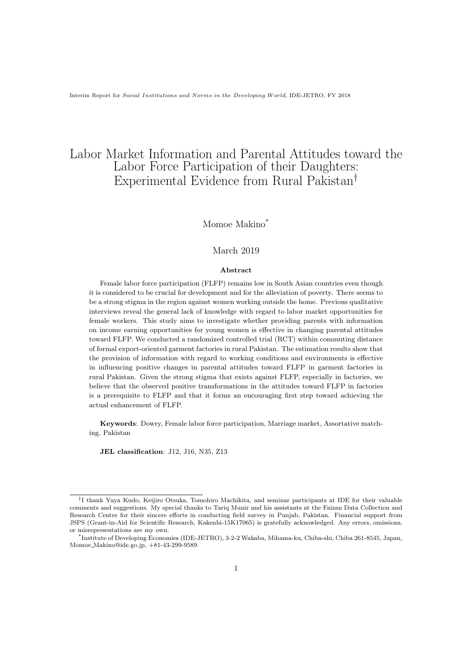# Labor Market Information and Parental Attitudes toward the Labor Force Participation of their Daughters: Experimental Evidence from Rural Pakistan*†*

## Momoe Makino\*

### March 2019

### **Abstract**

Female labor force participation (FLFP) remains low in South Asian countries even though it is considered to be crucial for development and for the alleviation of poverty. There seems to be a strong stigma in the region against women working outside the home. Previous qualitative interviews reveal the general lack of knowledge with regard to labor market opportunities for female workers. This study aims to investigate whether providing parents with information on income earning opportunities for young women is effective in changing parental attitudes toward FLFP. We conducted a randomized controlled trial (RCT) within commuting distance of formal export-oriented garment factories in rural Pakistan. The estimation results show that the provision of information with regard to working conditions and environments is effective in influencing positive changes in parental attitudes toward FLFP in garment factories in rural Pakistan. Given the strong stigma that exists against FLFP, especially in factories, we believe that the observed positive transformations in the attitudes toward FLFP in factories is a prerequisite to FLFP and that it forms an encouraging first step toward achieving the actual enhancement of FLFP.

**Keywords**: Dowry, Female labor force participation, Marriage market, Assortative matching, Pakistan

**JEL classification**: J12, J16, N35, Z13

*<sup>†</sup>* I thank Yuya Kudo, Keijiro Otsuka, Tomohiro Machikita, and seminar participants at IDE for their valuable comments and suggestions. My special thanks to Tariq Munir and his assistants at the Faizan Data Collection and Research Centre for their sincere efforts in conducting field survey in Punjab, Pakistan. Financial support from JSPS (Grant-in-Aid for Scientific Research, Kakenhi-15K17065) is gratefully acknowledged. Any errors, omissions, or misrepresentations are my own.

<sup>\*</sup> Institute of Developing Economies (IDE-JETRO), 3-2-2 Wakaba, Mihama-ku, Chiba-shi, Chiba 261-8545, Japan, Momoe Makino@ide.go.jp, +81-43-299-9589.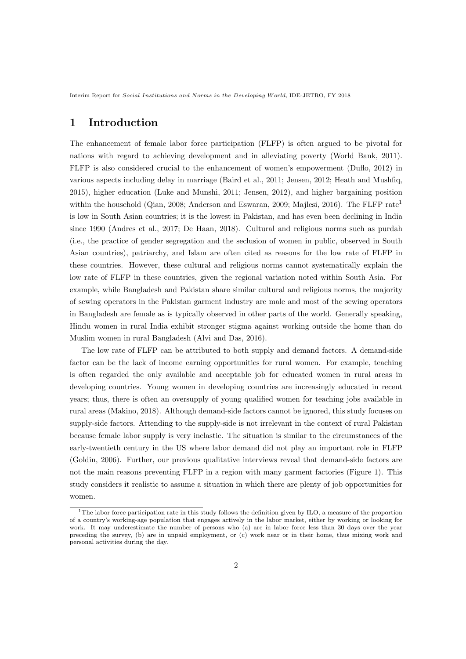# **1 Introduction**

The enhancement of female labor force participation (FLFP) is often argued to be pivotal for nations with regard to achieving development and in alleviating poverty (World Bank, 2011). FLFP is also considered crucial to the enhancement of women's empowerment (Duflo, 2012) in various aspects including delay in marriage (Baird et al., 2011; Jensen, 2012; Heath and Mushfiq, 2015), higher education (Luke and Munshi, 2011; Jensen, 2012), and higher bargaining position within the household (Qian, 2008; Anderson and Eswaran, 2009; Majlesi, 2016). The FLFP rate<sup>1</sup> is low in South Asian countries; it is the lowest in Pakistan, and has even been declining in India since 1990 (Andres et al., 2017; De Haan, 2018). Cultural and religious norms such as purdah (i.e., the practice of gender segregation and the seclusion of women in public, observed in South Asian countries), patriarchy, and Islam are often cited as reasons for the low rate of FLFP in these countries. However, these cultural and religious norms cannot systematically explain the low rate of FLFP in these countries, given the regional variation noted within South Asia. For example, while Bangladesh and Pakistan share similar cultural and religious norms, the majority of sewing operators in the Pakistan garment industry are male and most of the sewing operators in Bangladesh are female as is typically observed in other parts of the world. Generally speaking, Hindu women in rural India exhibit stronger stigma against working outside the home than do Muslim women in rural Bangladesh (Alvi and Das, 2016).

The low rate of FLFP can be attributed to both supply and demand factors. A demand-side factor can be the lack of income earning opportunities for rural women. For example, teaching is often regarded the only available and acceptable job for educated women in rural areas in developing countries. Young women in developing countries are increasingly educated in recent years; thus, there is often an oversupply of young qualified women for teaching jobs available in rural areas (Makino, 2018). Although demand-side factors cannot be ignored, this study focuses on supply-side factors. Attending to the supply-side is not irrelevant in the context of rural Pakistan because female labor supply is very inelastic. The situation is similar to the circumstances of the early-twentieth century in the US where labor demand did not play an important role in FLFP (Goldin, 2006). Further, our previous qualitative interviews reveal that demand-side factors are not the main reasons preventing FLFP in a region with many garment factories (Figure 1). This study considers it realistic to assume a situation in which there are plenty of job opportunities for women.

<sup>1</sup>The labor force participation rate in this study follows the definition given by ILO, a measure of the proportion of a country's working-age population that engages actively in the labor market, either by working or looking for work. It may underestimate the number of persons who (a) are in labor force less than 30 days over the year preceding the survey, (b) are in unpaid employment, or (c) work near or in their home, thus mixing work and personal activities during the day.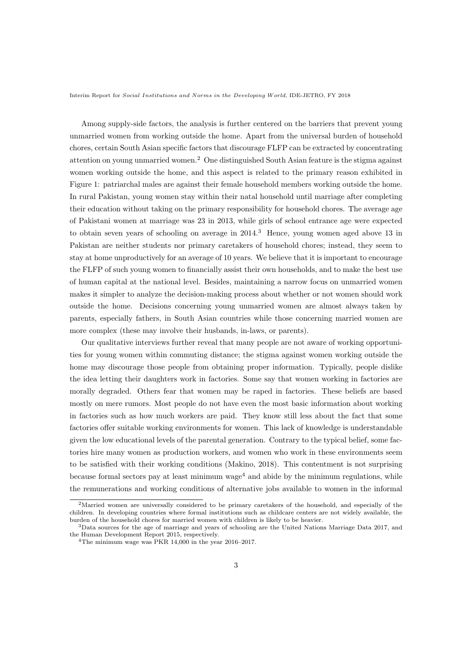Among supply-side factors, the analysis is further centered on the barriers that prevent young unmarried women from working outside the home. Apart from the universal burden of household chores, certain South Asian specific factors that discourage FLFP can be extracted by concentrating attention on young unmarried women.<sup>2</sup> One distinguished South Asian feature is the stigma against women working outside the home, and this aspect is related to the primary reason exhibited in Figure 1: patriarchal males are against their female household members working outside the home. In rural Pakistan, young women stay within their natal household until marriage after completing their education without taking on the primary responsibility for household chores. The average age of Pakistani women at marriage was 23 in 2013, while girls of school entrance age were expected to obtain seven years of schooling on average in  $2014<sup>3</sup>$  Hence, young women aged above 13 in Pakistan are neither students nor primary caretakers of household chores; instead, they seem to stay at home unproductively for an average of 10 years. We believe that it is important to encourage the FLFP of such young women to financially assist their own households, and to make the best use of human capital at the national level. Besides, maintaining a narrow focus on unmarried women makes it simpler to analyze the decision-making process about whether or not women should work outside the home. Decisions concerning young unmarried women are almost always taken by parents, especially fathers, in South Asian countries while those concerning married women are more complex (these may involve their husbands, in-laws, or parents).

Our qualitative interviews further reveal that many people are not aware of working opportunities for young women within commuting distance; the stigma against women working outside the home may discourage those people from obtaining proper information. Typically, people dislike the idea letting their daughters work in factories. Some say that women working in factories are morally degraded. Others fear that women may be raped in factories. These beliefs are based mostly on mere rumors. Most people do not have even the most basic information about working in factories such as how much workers are paid. They know still less about the fact that some factories offer suitable working environments for women. This lack of knowledge is understandable given the low educational levels of the parental generation. Contrary to the typical belief, some factories hire many women as production workers, and women who work in these environments seem to be satisfied with their working conditions (Makino, 2018). This contentment is not surprising because formal sectors pay at least minimum wage<sup>4</sup> and abide by the minimum regulations, while the remunerations and working conditions of alternative jobs available to women in the informal

<sup>2</sup>Married women are universally considered to be primary caretakers of the household, and especially of the children. In developing countries where formal institutions such as childcare centers are not widely available, the burden of the household chores for married women with children is likely to be heavier.

<sup>&</sup>lt;sup>3</sup>Data sources for the age of marriage and years of schooling are the United Nations Marriage Data 2017, and the Human Development Report 2015, respectively.

<sup>4</sup>The minimum wage was PKR 14,000 in the year 2016–2017.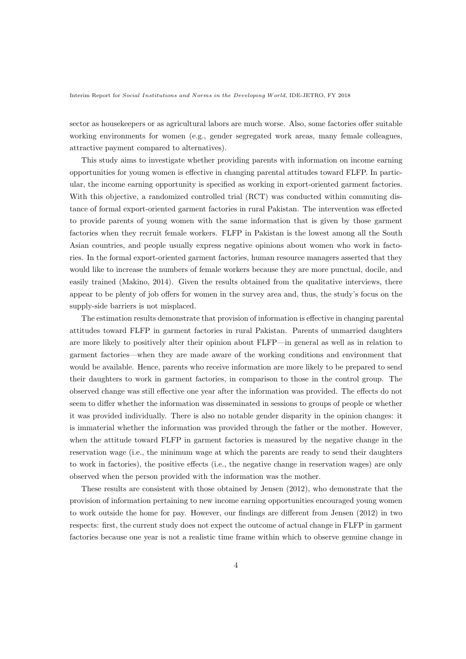sector as housekeepers or as agricultural labors are much worse. Also, some factories offer suitable working environments for women (e.g., gender segregated work areas, many female colleagues, attractive payment compared to alternatives).

This study aims to investigate whether providing parents with information on income earning opportunities for young women is effective in changing parental attitudes toward FLFP. In particular, the income earning opportunity is specified as working in export-oriented garment factories. With this objective, a randomized controlled trial (RCT) was conducted within commuting distance of formal export-oriented garment factories in rural Pakistan. The intervention was effected to provide parents of young women with the same information that is given by those garment factories when they recruit female workers. FLFP in Pakistan is the lowest among all the South Asian countries, and people usually express negative opinions about women who work in factories. In the formal export-oriented garment factories, human resource managers asserted that they would like to increase the numbers of female workers because they are more punctual, docile, and easily trained (Makino, 2014). Given the results obtained from the qualitative interviews, there appear to be plenty of job offers for women in the survey area and, thus, the study's focus on the supply-side barriers is not misplaced.

The estimation results demonstrate that provision of information is effective in changing parental attitudes toward FLFP in garment factories in rural Pakistan. Parents of unmarried daughters are more likely to positively alter their opinion about FLFP—in general as well as in relation to garment factories—when they are made aware of the working conditions and environment that would be available. Hence, parents who receive information are more likely to be prepared to send their daughters to work in garment factories, in comparison to those in the control group. The observed change was still effective one year after the information was provided. The effects do not seem to differ whether the information was disseminated in sessions to groups of people or whether it was provided individually. There is also no notable gender disparity in the opinion changes: it is immaterial whether the information was provided through the father or the mother. However, when the attitude toward FLFP in garment factories is measured by the negative change in the reservation wage (i.e., the minimum wage at which the parents are ready to send their daughters to work in factories), the positive effects (i.e., the negative change in reservation wages) are only observed when the person provided with the information was the mother.

These results are consistent with those obtained by Jensen (2012), who demonstrate that the provision of information pertaining to new income earning opportunities encouraged young women to work outside the home for pay. However, our findings are different from Jensen (2012) in two respects: first, the current study does not expect the outcome of actual change in FLFP in garment factories because one year is not a realistic time frame within which to observe genuine change in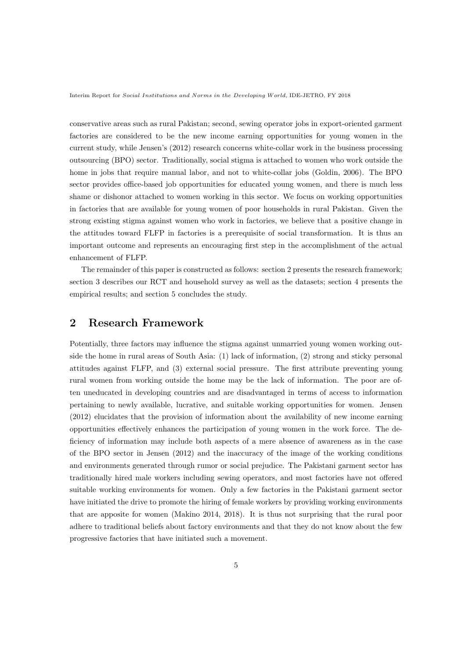conservative areas such as rural Pakistan; second, sewing operator jobs in export-oriented garment factories are considered to be the new income earning opportunities for young women in the current study, while Jensen's (2012) research concerns white-collar work in the business processing outsourcing (BPO) sector. Traditionally, social stigma is attached to women who work outside the home in jobs that require manual labor, and not to white-collar jobs (Goldin, 2006). The BPO sector provides office-based job opportunities for educated young women, and there is much less shame or dishonor attached to women working in this sector. We focus on working opportunities in factories that are available for young women of poor households in rural Pakistan. Given the strong existing stigma against women who work in factories, we believe that a positive change in the attitudes toward FLFP in factories is a prerequisite of social transformation. It is thus an important outcome and represents an encouraging first step in the accomplishment of the actual enhancement of FLFP.

The remainder of this paper is constructed as follows: section 2 presents the research framework; section 3 describes our RCT and household survey as well as the datasets; section 4 presents the empirical results; and section 5 concludes the study.

## **2 Research Framework**

Potentially, three factors may influence the stigma against unmarried young women working outside the home in rural areas of South Asia: (1) lack of information, (2) strong and sticky personal attitudes against FLFP, and (3) external social pressure. The first attribute preventing young rural women from working outside the home may be the lack of information. The poor are often uneducated in developing countries and are disadvantaged in terms of access to information pertaining to newly available, lucrative, and suitable working opportunities for women. Jensen (2012) elucidates that the provision of information about the availability of new income earning opportunities effectively enhances the participation of young women in the work force. The deficiency of information may include both aspects of a mere absence of awareness as in the case of the BPO sector in Jensen (2012) and the inaccuracy of the image of the working conditions and environments generated through rumor or social prejudice. The Pakistani garment sector has traditionally hired male workers including sewing operators, and most factories have not offered suitable working environments for women. Only a few factories in the Pakistani garment sector have initiated the drive to promote the hiring of female workers by providing working environments that are apposite for women (Makino 2014, 2018). It is thus not surprising that the rural poor adhere to traditional beliefs about factory environments and that they do not know about the few progressive factories that have initiated such a movement.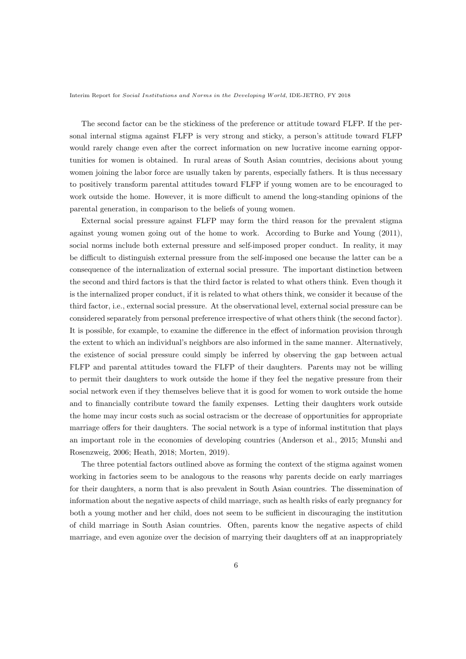The second factor can be the stickiness of the preference or attitude toward FLFP. If the personal internal stigma against FLFP is very strong and sticky, a person's attitude toward FLFP would rarely change even after the correct information on new lucrative income earning opportunities for women is obtained. In rural areas of South Asian countries, decisions about young women joining the labor force are usually taken by parents, especially fathers. It is thus necessary to positively transform parental attitudes toward FLFP if young women are to be encouraged to work outside the home. However, it is more difficult to amend the long-standing opinions of the parental generation, in comparison to the beliefs of young women.

External social pressure against FLFP may form the third reason for the prevalent stigma against young women going out of the home to work. According to Burke and Young (2011), social norms include both external pressure and self-imposed proper conduct. In reality, it may be difficult to distinguish external pressure from the self-imposed one because the latter can be a consequence of the internalization of external social pressure. The important distinction between the second and third factors is that the third factor is related to what others think. Even though it is the internalized proper conduct, if it is related to what others think, we consider it because of the third factor, i.e., external social pressure. At the observational level, external social pressure can be considered separately from personal preference irrespective of what others think (the second factor). It is possible, for example, to examine the difference in the effect of information provision through the extent to which an individual's neighbors are also informed in the same manner. Alternatively, the existence of social pressure could simply be inferred by observing the gap between actual FLFP and parental attitudes toward the FLFP of their daughters. Parents may not be willing to permit their daughters to work outside the home if they feel the negative pressure from their social network even if they themselves believe that it is good for women to work outside the home and to financially contribute toward the family expenses. Letting their daughters work outside the home may incur costs such as social ostracism or the decrease of opportunities for appropriate marriage offers for their daughters. The social network is a type of informal institution that plays an important role in the economies of developing countries (Anderson et al., 2015; Munshi and Rosenzweig, 2006; Heath, 2018; Morten, 2019).

The three potential factors outlined above as forming the context of the stigma against women working in factories seem to be analogous to the reasons why parents decide on early marriages for their daughters, a norm that is also prevalent in South Asian countries. The dissemination of information about the negative aspects of child marriage, such as health risks of early pregnancy for both a young mother and her child, does not seem to be sufficient in discouraging the institution of child marriage in South Asian countries. Often, parents know the negative aspects of child marriage, and even agonize over the decision of marrying their daughters off at an inappropriately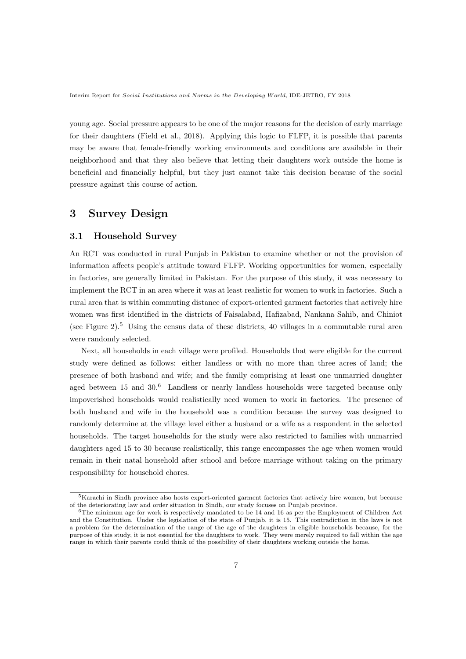young age. Social pressure appears to be one of the major reasons for the decision of early marriage for their daughters (Field et al., 2018). Applying this logic to FLFP, it is possible that parents may be aware that female-friendly working environments and conditions are available in their neighborhood and that they also believe that letting their daughters work outside the home is beneficial and financially helpful, but they just cannot take this decision because of the social pressure against this course of action.

## **3 Survey Design**

## **3.1 Household Survey**

An RCT was conducted in rural Punjab in Pakistan to examine whether or not the provision of information affects people's attitude toward FLFP. Working opportunities for women, especially in factories, are generally limited in Pakistan. For the purpose of this study, it was necessary to implement the RCT in an area where it was at least realistic for women to work in factories. Such a rural area that is within commuting distance of export-oriented garment factories that actively hire women was first identified in the districts of Faisalabad, Hafizabad, Nankana Sahib, and Chiniot (see Figure 2).<sup>5</sup> Using the census data of these districts, 40 villages in a commutable rural area were randomly selected.

Next, all households in each village were profiled. Households that were eligible for the current study were defined as follows: either landless or with no more than three acres of land; the presence of both husband and wife; and the family comprising at least one unmarried daughter aged between 15 and 30.<sup>6</sup> Landless or nearly landless households were targeted because only impoverished households would realistically need women to work in factories. The presence of both husband and wife in the household was a condition because the survey was designed to randomly determine at the village level either a husband or a wife as a respondent in the selected households. The target households for the study were also restricted to families with unmarried daughters aged 15 to 30 because realistically, this range encompasses the age when women would remain in their natal household after school and before marriage without taking on the primary responsibility for household chores.

<sup>5</sup>Karachi in Sindh province also hosts export-oriented garment factories that actively hire women, but because of the deteriorating law and order situation in Sindh, our study focuses on Punjab province.

 $6$ The minimum age for work is respectively mandated to be 14 and 16 as per the Employment of Children Act and the Constitution. Under the legislation of the state of Punjab, it is 15. This contradiction in the laws is not a problem for the determination of the range of the age of the daughters in eligible households because, for the purpose of this study, it is not essential for the daughters to work. They were merely required to fall within the age range in which their parents could think of the possibility of their daughters working outside the home.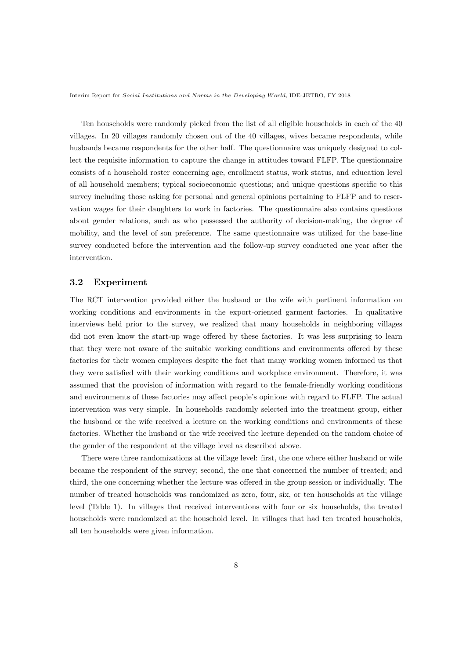Ten households were randomly picked from the list of all eligible households in each of the 40 villages. In 20 villages randomly chosen out of the 40 villages, wives became respondents, while husbands became respondents for the other half. The questionnaire was uniquely designed to collect the requisite information to capture the change in attitudes toward FLFP. The questionnaire consists of a household roster concerning age, enrollment status, work status, and education level of all household members; typical socioeconomic questions; and unique questions specific to this survey including those asking for personal and general opinions pertaining to FLFP and to reservation wages for their daughters to work in factories. The questionnaire also contains questions about gender relations, such as who possessed the authority of decision-making, the degree of mobility, and the level of son preference. The same questionnaire was utilized for the base-line survey conducted before the intervention and the follow-up survey conducted one year after the intervention.

### **3.2 Experiment**

The RCT intervention provided either the husband or the wife with pertinent information on working conditions and environments in the export-oriented garment factories. In qualitative interviews held prior to the survey, we realized that many households in neighboring villages did not even know the start-up wage offered by these factories. It was less surprising to learn that they were not aware of the suitable working conditions and environments offered by these factories for their women employees despite the fact that many working women informed us that they were satisfied with their working conditions and workplace environment. Therefore, it was assumed that the provision of information with regard to the female-friendly working conditions and environments of these factories may affect people's opinions with regard to FLFP. The actual intervention was very simple. In households randomly selected into the treatment group, either the husband or the wife received a lecture on the working conditions and environments of these factories. Whether the husband or the wife received the lecture depended on the random choice of the gender of the respondent at the village level as described above.

There were three randomizations at the village level: first, the one where either husband or wife became the respondent of the survey; second, the one that concerned the number of treated; and third, the one concerning whether the lecture was offered in the group session or individually. The number of treated households was randomized as zero, four, six, or ten households at the village level (Table 1). In villages that received interventions with four or six households, the treated households were randomized at the household level. In villages that had ten treated households, all ten households were given information.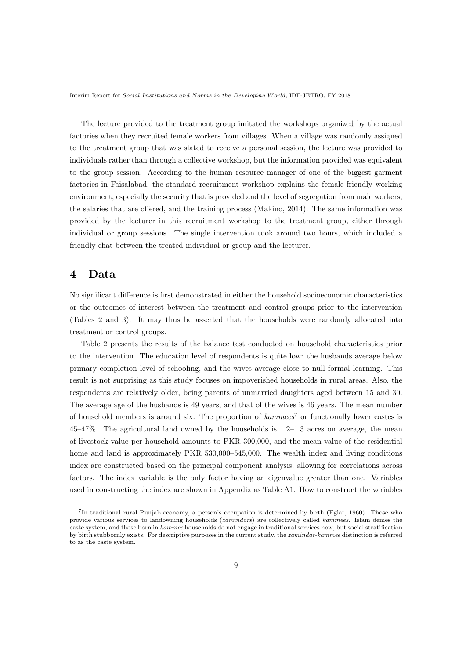The lecture provided to the treatment group imitated the workshops organized by the actual factories when they recruited female workers from villages. When a village was randomly assigned to the treatment group that was slated to receive a personal session, the lecture was provided to individuals rather than through a collective workshop, but the information provided was equivalent to the group session. According to the human resource manager of one of the biggest garment factories in Faisalabad, the standard recruitment workshop explains the female-friendly working environment, especially the security that is provided and the level of segregation from male workers, the salaries that are offered, and the training process (Makino, 2014). The same information was provided by the lecturer in this recruitment workshop to the treatment group, either through individual or group sessions. The single intervention took around two hours, which included a friendly chat between the treated individual or group and the lecturer.

# **4 Data**

No significant difference is first demonstrated in either the household socioeconomic characteristics or the outcomes of interest between the treatment and control groups prior to the intervention (Tables 2 and 3). It may thus be asserted that the households were randomly allocated into treatment or control groups.

Table 2 presents the results of the balance test conducted on household characteristics prior to the intervention. The education level of respondents is quite low: the husbands average below primary completion level of schooling, and the wives average close to null formal learning. This result is not surprising as this study focuses on impoverished households in rural areas. Also, the respondents are relatively older, being parents of unmarried daughters aged between 15 and 30. The average age of the husbands is 49 years, and that of the wives is 46 years. The mean number of household members is around six. The proportion of *kammees*<sup>7</sup> or functionally lower castes is 45–47%. The agricultural land owned by the households is 1.2–1.3 acres on average, the mean of livestock value per household amounts to PKR 300,000, and the mean value of the residential home and land is approximately PKR 530,000–545,000. The wealth index and living conditions index are constructed based on the principal component analysis, allowing for correlations across factors. The index variable is the only factor having an eigenvalue greater than one. Variables used in constructing the index are shown in Appendix as Table A1. How to construct the variables

<sup>7</sup> In traditional rural Punjab economy, a person's occupation is determined by birth (Eglar, 1960). Those who provide various services to landowning households (*zamindars*) are collectively called *kammees*. Islam denies the caste system, and those born in *kammee* households do not engage in traditional services now, but social stratification by birth stubbornly exists. For descriptive purposes in the current study, the *zamindar*-*kammee* distinction is referred to as the caste system.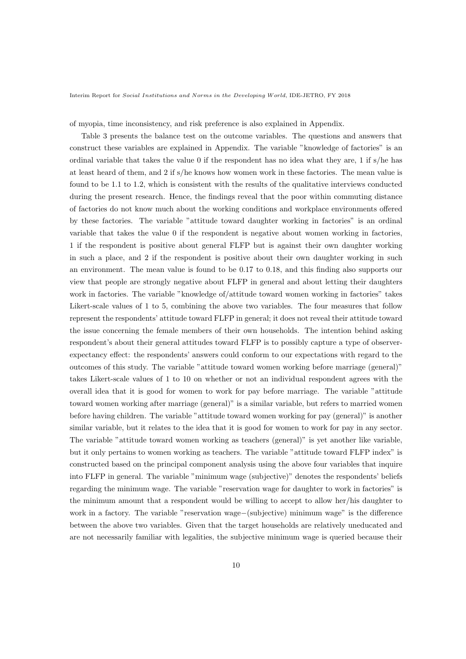of myopia, time inconsistency, and risk preference is also explained in Appendix.

Table 3 presents the balance test on the outcome variables. The questions and answers that construct these variables are explained in Appendix. The variable "knowledge of factories" is an ordinal variable that takes the value 0 if the respondent has no idea what they are, 1 if s/he has at least heard of them, and 2 if s/he knows how women work in these factories. The mean value is found to be 1.1 to 1.2, which is consistent with the results of the qualitative interviews conducted during the present research. Hence, the findings reveal that the poor within commuting distance of factories do not know much about the working conditions and workplace environments offered by these factories. The variable "attitude toward daughter working in factories" is an ordinal variable that takes the value 0 if the respondent is negative about women working in factories, 1 if the respondent is positive about general FLFP but is against their own daughter working in such a place, and 2 if the respondent is positive about their own daughter working in such an environment. The mean value is found to be 0.17 to 0.18, and this finding also supports our view that people are strongly negative about FLFP in general and about letting their daughters work in factories. The variable "knowledge of/attitude toward women working in factories" takes Likert-scale values of 1 to 5, combining the above two variables. The four measures that follow represent the respondents' attitude toward FLFP in general; it does not reveal their attitude toward the issue concerning the female members of their own households. The intention behind asking respondent's about their general attitudes toward FLFP is to possibly capture a type of observerexpectancy effect: the respondents' answers could conform to our expectations with regard to the outcomes of this study. The variable "attitude toward women working before marriage (general)" takes Likert-scale values of 1 to 10 on whether or not an individual respondent agrees with the overall idea that it is good for women to work for pay before marriage. The variable "attitude toward women working after marriage (general)" is a similar variable, but refers to married women before having children. The variable "attitude toward women working for pay (general)" is another similar variable, but it relates to the idea that it is good for women to work for pay in any sector. The variable "attitude toward women working as teachers (general)" is yet another like variable, but it only pertains to women working as teachers. The variable "attitude toward FLFP index" is constructed based on the principal component analysis using the above four variables that inquire into FLFP in general. The variable "minimum wage (subjective)" denotes the respondents' beliefs regarding the minimum wage. The variable "reservation wage for daughter to work in factories" is the minimum amount that a respondent would be willing to accept to allow her/his daughter to work in a factory. The variable "reservation wage*−*(subjective) minimum wage" is the difference between the above two variables. Given that the target households are relatively uneducated and are not necessarily familiar with legalities, the subjective minimum wage is queried because their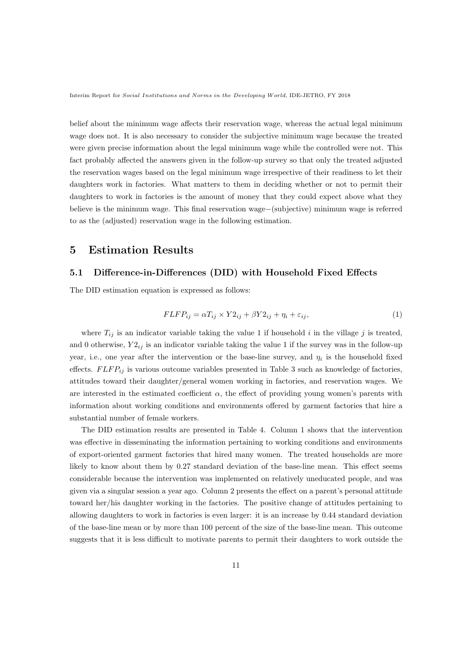belief about the minimum wage affects their reservation wage, whereas the actual legal minimum wage does not. It is also necessary to consider the subjective minimum wage because the treated were given precise information about the legal minimum wage while the controlled were not. This fact probably affected the answers given in the follow-up survey so that only the treated adjusted the reservation wages based on the legal minimum wage irrespective of their readiness to let their daughters work in factories. What matters to them in deciding whether or not to permit their daughters to work in factories is the amount of money that they could expect above what they believe is the minimum wage. This final reservation wage*−*(subjective) minimum wage is referred to as the (adjusted) reservation wage in the following estimation.

## **5 Estimation Results**

## **5.1 Difference-in-Differences (DID) with Household Fixed Effects**

The DID estimation equation is expressed as follows:

$$
FLFP_{ij} = \alpha T_{ij} \times Y2_{ij} + \beta Y2_{ij} + \eta_i + \varepsilon_{ij},\tag{1}
$$

where  $T_{ij}$  is an indicator variable taking the value 1 if household *i* in the village *j* is treated, and 0 otherwise,  $Y2_{ij}$  is an indicator variable taking the value 1 if the survey was in the follow-up year, i.e., one year after the intervention or the base-line survey, and *η<sup>i</sup>* is the household fixed effects.  $FLFP_{ij}$  is various outcome variables presented in Table 3 such as knowledge of factories, attitudes toward their daughter/general women working in factories, and reservation wages. We are interested in the estimated coefficient  $\alpha$ , the effect of providing young women's parents with information about working conditions and environments offered by garment factories that hire a substantial number of female workers.

The DID estimation results are presented in Table 4. Column 1 shows that the intervention was effective in disseminating the information pertaining to working conditions and environments of export-oriented garment factories that hired many women. The treated households are more likely to know about them by 0.27 standard deviation of the base-line mean. This effect seems considerable because the intervention was implemented on relatively uneducated people, and was given via a singular session a year ago. Column 2 presents the effect on a parent's personal attitude toward her/his daughter working in the factories. The positive change of attitudes pertaining to allowing daughters to work in factories is even larger: it is an increase by 0.44 standard deviation of the base-line mean or by more than 100 percent of the size of the base-line mean. This outcome suggests that it is less difficult to motivate parents to permit their daughters to work outside the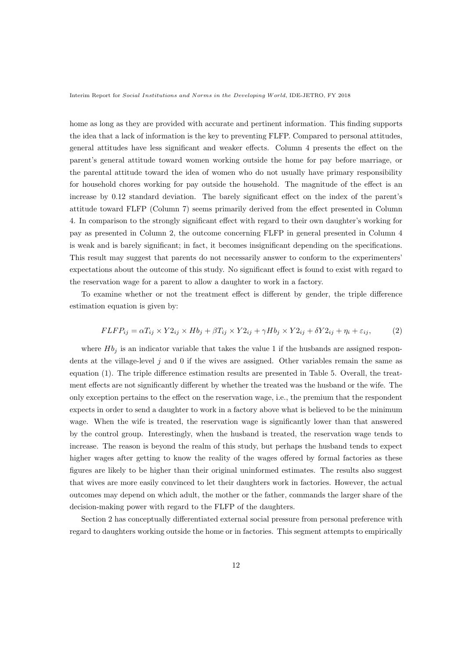home as long as they are provided with accurate and pertinent information. This finding supports the idea that a lack of information is the key to preventing FLFP. Compared to personal attitudes, general attitudes have less significant and weaker effects. Column 4 presents the effect on the parent's general attitude toward women working outside the home for pay before marriage, or the parental attitude toward the idea of women who do not usually have primary responsibility for household chores working for pay outside the household. The magnitude of the effect is an increase by 0.12 standard deviation. The barely significant effect on the index of the parent's attitude toward FLFP (Column 7) seems primarily derived from the effect presented in Column 4. In comparison to the strongly significant effect with regard to their own daughter's working for pay as presented in Column 2, the outcome concerning FLFP in general presented in Column 4 is weak and is barely significant; in fact, it becomes insignificant depending on the specifications. This result may suggest that parents do not necessarily answer to conform to the experimenters' expectations about the outcome of this study. No significant effect is found to exist with regard to the reservation wage for a parent to allow a daughter to work in a factory.

To examine whether or not the treatment effect is different by gender, the triple difference estimation equation is given by:

$$
FLFP_{ij} = \alpha T_{ij} \times Y2_{ij} \times Hb_j + \beta T_{ij} \times Y2_{ij} + \gamma Hb_j \times Y2_{ij} + \delta Y2_{ij} + \eta_i + \varepsilon_{ij},\tag{2}
$$

where  $Hb_j$  is an indicator variable that takes the value 1 if the husbands are assigned respondents at the village-level *j* and 0 if the wives are assigned. Other variables remain the same as equation (1). The triple difference estimation results are presented in Table 5. Overall, the treatment effects are not significantly different by whether the treated was the husband or the wife. The only exception pertains to the effect on the reservation wage, i.e., the premium that the respondent expects in order to send a daughter to work in a factory above what is believed to be the minimum wage. When the wife is treated, the reservation wage is significantly lower than that answered by the control group. Interestingly, when the husband is treated, the reservation wage tends to increase. The reason is beyond the realm of this study, but perhaps the husband tends to expect higher wages after getting to know the reality of the wages offered by formal factories as these figures are likely to be higher than their original uninformed estimates. The results also suggest that wives are more easily convinced to let their daughters work in factories. However, the actual outcomes may depend on which adult, the mother or the father, commands the larger share of the decision-making power with regard to the FLFP of the daughters.

Section 2 has conceptually differentiated external social pressure from personal preference with regard to daughters working outside the home or in factories. This segment attempts to empirically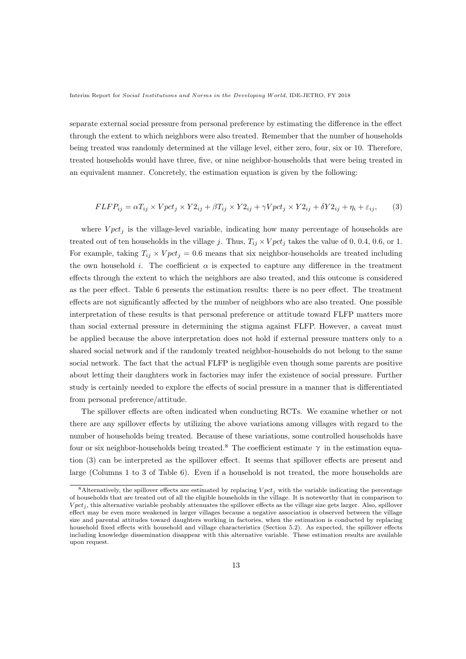separate external social pressure from personal preference by estimating the difference in the effect through the extent to which neighbors were also treated. Remember that the number of households being treated was randomly determined at the village level, either zero, four, six or 10. Therefore, treated households would have three, five, or nine neighbor-households that were being treated in an equivalent manner. Concretely, the estimation equation is given by the following:

$$
FLFP_{ij} = \alpha T_{ij} \times Vpct_j \times Y2_{ij} + \beta T_{ij} \times Y2_{ij} + \gamma Vpct_j \times Y2_{ij} + \delta Y2_{ij} + \eta_i + \varepsilon_{ij},\tag{3}
$$

where  $V pct<sub>i</sub>$  is the village-level variable, indicating how many percentage of households are treated out of ten households in the village *j*. Thus,  $T_{ij} \times V pct_j$  takes the value of 0, 0.4, 0.6, or 1. For example, taking  $T_{ij} \times V pct_j = 0.6$  means that six neighbor-households are treated including the own household *i*. The coefficient  $\alpha$  is expected to capture any difference in the treatment effects through the extent to which the neighbors are also treated, and this outcome is considered as the peer effect. Table 6 presents the estimation results: there is no peer effect. The treatment effects are not significantly affected by the number of neighbors who are also treated. One possible interpretation of these results is that personal preference or attitude toward FLFP matters more than social external pressure in determining the stigma against FLFP. However, a caveat must be applied because the above interpretation does not hold if external pressure matters only to a shared social network and if the randomly treated neighbor-households do not belong to the same social network. The fact that the actual FLFP is negligible even though some parents are positive about letting their daughters work in factories may infer the existence of social pressure. Further study is certainly needed to explore the effects of social pressure in a manner that is differentiated from personal preference/attitude.

The spillover effects are often indicated when conducting RCTs. We examine whether or not there are any spillover effects by utilizing the above variations among villages with regard to the number of households being treated. Because of these variations, some controlled households have four or six neighbor-households being treated.<sup>8</sup> The coefficient estimate  $\gamma$  in the estimation equation (3) can be interpreted as the spillover effect. It seems that spillover effects are present and large (Columns 1 to 3 of Table 6). Even if a household is not treated, the more households are

<sup>&</sup>lt;sup>8</sup>Alternatively, the spillover effects are estimated by replacing  $V pct<sub>j</sub>$  with the variable indicating the percentage of households that are treated out of all the eligible households in the village. It is noteworthy that in comparison to  $V pct<sub>i</sub>$ , this alternative variable probably attenuates the spillover effects as the village size gets larger. Also, spillover effect may be even more weakened in larger villages because a negative association is observed between the village size and parental attitudes toward daughters working in factories, when the estimation is conducted by replacing household fixed effects with household and village characteristics (Section 5.2). As expected, the spillover effects including knowledge dissemination disappear with this alternative variable. These estimation results are available upon request.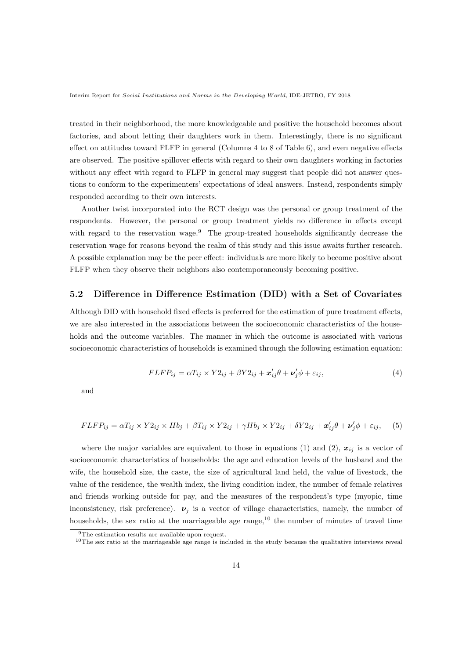treated in their neighborhood, the more knowledgeable and positive the household becomes about factories, and about letting their daughters work in them. Interestingly, there is no significant effect on attitudes toward FLFP in general (Columns 4 to 8 of Table 6), and even negative effects are observed. The positive spillover effects with regard to their own daughters working in factories without any effect with regard to FLFP in general may suggest that people did not answer questions to conform to the experimenters' expectations of ideal answers. Instead, respondents simply responded according to their own interests.

Another twist incorporated into the RCT design was the personal or group treatment of the respondents. However, the personal or group treatment yields no difference in effects except with regard to the reservation wage.<sup>9</sup> The group-treated households significantly decrease the reservation wage for reasons beyond the realm of this study and this issue awaits further research. A possible explanation may be the peer effect: individuals are more likely to become positive about FLFP when they observe their neighbors also contemporaneously becoming positive.

## **5.2 Difference in Difference Estimation (DID) with a Set of Covariates**

Although DID with household fixed effects is preferred for the estimation of pure treatment effects, we are also interested in the associations between the socioeconomic characteristics of the households and the outcome variables. The manner in which the outcome is associated with various socioeconomic characteristics of households is examined through the following estimation equation:

$$
FLFP_{ij} = \alpha T_{ij} \times Y2_{ij} + \beta Y2_{ij} + \mathbf{x}'_{ij}\theta + \mathbf{v}'_j\phi + \varepsilon_{ij},\tag{4}
$$

and

$$
FLFP_{ij} = \alpha T_{ij} \times Y2_{ij} \times Hb_j + \beta T_{ij} \times Y2_{ij} + \gamma Hb_j \times Y2_{ij} + \delta Y2_{ij} + \mathbf{x}_{ij}'\theta + \mathbf{v}_j'\phi + \varepsilon_{ij}, \quad (5)
$$

where the major variables are equivalent to those in equations (1) and (2),  $x_{ij}$  is a vector of socioeconomic characteristics of households: the age and education levels of the husband and the wife, the household size, the caste, the size of agricultural land held, the value of livestock, the value of the residence, the wealth index, the living condition index, the number of female relatives and friends working outside for pay, and the measures of the respondent's type (myopic, time inconsistency, risk preference).  $\nu_j$  is a vector of village characteristics, namely, the number of households, the sex ratio at the marriageable age range,  $^{10}$  the number of minutes of travel time

<sup>&</sup>lt;sup>9</sup>The estimation results are available upon request.

 $10$ The sex ratio at the marriageable age range is included in the study because the qualitative interviews reveal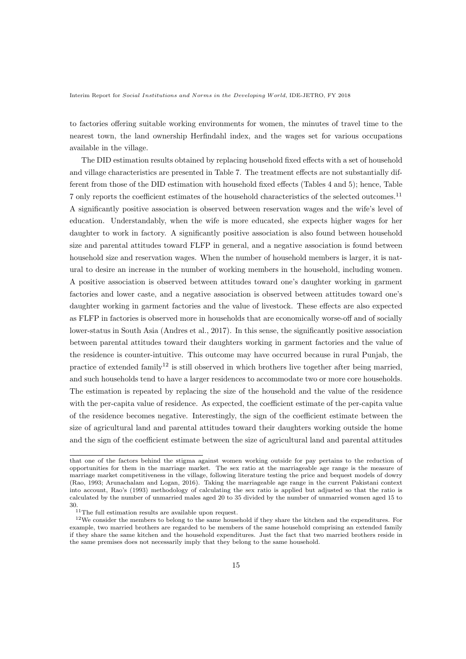to factories offering suitable working environments for women, the minutes of travel time to the nearest town, the land ownership Herfindahl index, and the wages set for various occupations available in the village.

The DID estimation results obtained by replacing household fixed effects with a set of household and village characteristics are presented in Table 7. The treatment effects are not substantially different from those of the DID estimation with household fixed effects (Tables 4 and 5); hence, Table 7 only reports the coefficient estimates of the household characteristics of the selected outcomes.<sup>11</sup> A significantly positive association is observed between reservation wages and the wife's level of education. Understandably, when the wife is more educated, she expects higher wages for her daughter to work in factory. A significantly positive association is also found between household size and parental attitudes toward FLFP in general, and a negative association is found between household size and reservation wages. When the number of household members is larger, it is natural to desire an increase in the number of working members in the household, including women. A positive association is observed between attitudes toward one's daughter working in garment factories and lower caste, and a negative association is observed between attitudes toward one's daughter working in garment factories and the value of livestock. These effects are also expected as FLFP in factories is observed more in households that are economically worse-off and of socially lower-status in South Asia (Andres et al., 2017). In this sense, the significantly positive association between parental attitudes toward their daughters working in garment factories and the value of the residence is counter-intuitive. This outcome may have occurred because in rural Punjab, the practice of extended family<sup>12</sup> is still observed in which brothers live together after being married, and such households tend to have a larger residences to accommodate two or more core households. The estimation is repeated by replacing the size of the household and the value of the residence with the per-capita value of residence. As expected, the coefficient estimate of the per-capita value of the residence becomes negative. Interestingly, the sign of the coefficient estimate between the size of agricultural land and parental attitudes toward their daughters working outside the home and the sign of the coefficient estimate between the size of agricultural land and parental attitudes

that one of the factors behind the stigma against women working outside for pay pertains to the reduction of opportunities for them in the marriage market. The sex ratio at the marriageable age range is the measure of marriage market competitiveness in the village, following literature testing the price and bequest models of dowry (Rao, 1993; Arunachalam and Logan, 2016). Taking the marriageable age range in the current Pakistani context into account, Rao's (1993) methodology of calculating the sex ratio is applied but adjusted so that the ratio is calculated by the number of unmarried males aged 20 to 35 divided by the number of unmarried women aged 15 to 30.

<sup>&</sup>lt;sup>11</sup>The full estimation results are available upon request.

<sup>12</sup>We consider the members to belong to the same household if they share the kitchen and the expenditures. For example, two married brothers are regarded to be members of the same household comprising an extended family if they share the same kitchen and the household expenditures. Just the fact that two married brothers reside in the same premises does not necessarily imply that they belong to the same household.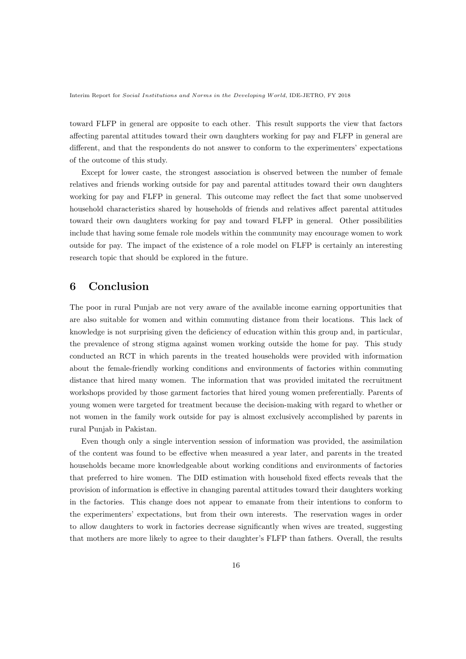toward FLFP in general are opposite to each other. This result supports the view that factors affecting parental attitudes toward their own daughters working for pay and FLFP in general are different, and that the respondents do not answer to conform to the experimenters' expectations of the outcome of this study.

Except for lower caste, the strongest association is observed between the number of female relatives and friends working outside for pay and parental attitudes toward their own daughters working for pay and FLFP in general. This outcome may reflect the fact that some unobserved household characteristics shared by households of friends and relatives affect parental attitudes toward their own daughters working for pay and toward FLFP in general. Other possibilities include that having some female role models within the community may encourage women to work outside for pay. The impact of the existence of a role model on FLFP is certainly an interesting research topic that should be explored in the future.

# **6 Conclusion**

The poor in rural Punjab are not very aware of the available income earning opportunities that are also suitable for women and within commuting distance from their locations. This lack of knowledge is not surprising given the deficiency of education within this group and, in particular, the prevalence of strong stigma against women working outside the home for pay. This study conducted an RCT in which parents in the treated households were provided with information about the female-friendly working conditions and environments of factories within commuting distance that hired many women. The information that was provided imitated the recruitment workshops provided by those garment factories that hired young women preferentially. Parents of young women were targeted for treatment because the decision-making with regard to whether or not women in the family work outside for pay is almost exclusively accomplished by parents in rural Punjab in Pakistan.

Even though only a single intervention session of information was provided, the assimilation of the content was found to be effective when measured a year later, and parents in the treated households became more knowledgeable about working conditions and environments of factories that preferred to hire women. The DID estimation with household fixed effects reveals that the provision of information is effective in changing parental attitudes toward their daughters working in the factories. This change does not appear to emanate from their intentions to conform to the experimenters' expectations, but from their own interests. The reservation wages in order to allow daughters to work in factories decrease significantly when wives are treated, suggesting that mothers are more likely to agree to their daughter's FLFP than fathers. Overall, the results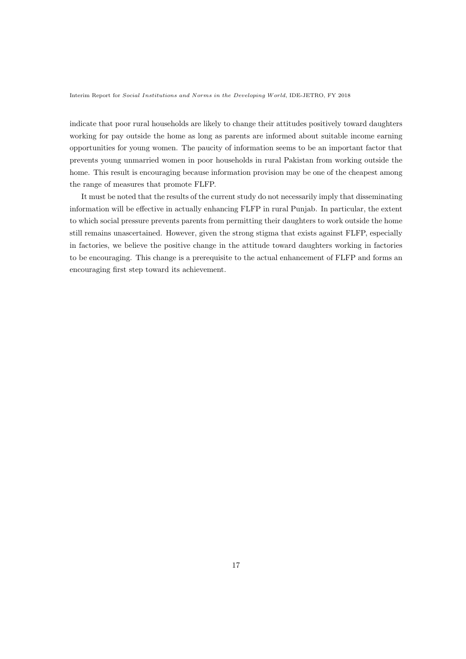indicate that poor rural households are likely to change their attitudes positively toward daughters working for pay outside the home as long as parents are informed about suitable income earning opportunities for young women. The paucity of information seems to be an important factor that prevents young unmarried women in poor households in rural Pakistan from working outside the home. This result is encouraging because information provision may be one of the cheapest among the range of measures that promote FLFP.

It must be noted that the results of the current study do not necessarily imply that disseminating information will be effective in actually enhancing FLFP in rural Punjab. In particular, the extent to which social pressure prevents parents from permitting their daughters to work outside the home still remains unascertained. However, given the strong stigma that exists against FLFP, especially in factories, we believe the positive change in the attitude toward daughters working in factories to be encouraging. This change is a prerequisite to the actual enhancement of FLFP and forms an encouraging first step toward its achievement.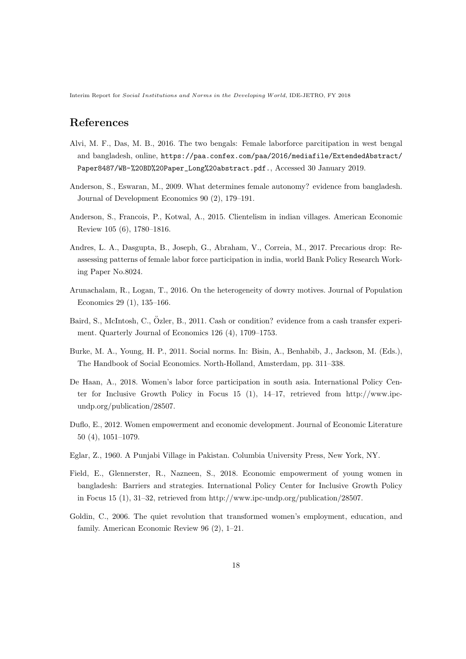# **References**

- Alvi, M. F., Das, M. B., 2016. The two bengals: Female laborforce parcitipation in west bengal and bangladesh, online, https://paa.confex.com/paa/2016/mediafile/ExtendedAbstract/ Paper8487/WB-%20BD%20Paper\_Long%20abstract.pdf., Accessed 30 January 2019.
- Anderson, S., Eswaran, M., 2009. What determines female autonomy? evidence from bangladesh. Journal of Development Economics 90 (2), 179–191.
- Anderson, S., Francois, P., Kotwal, A., 2015. Clientelism in indian villages. American Economic Review 105 (6), 1780–1816.
- Andres, L. A., Dasgupta, B., Joseph, G., Abraham, V., Correia, M., 2017. Precarious drop: Reassessing patterns of female labor force participation in india, world Bank Policy Research Working Paper No.8024.
- Arunachalam, R., Logan, T., 2016. On the heterogeneity of dowry motives. Journal of Population Economics 29 (1), 135–166.
- Baird, S., McIntosh, C., Özler, B., 2011. Cash or condition? evidence from a cash transfer experiment. Quarterly Journal of Economics 126 (4), 1709–1753.
- Burke, M. A., Young, H. P., 2011. Social norms. In: Bisin, A., Benhabib, J., Jackson, M. (Eds.), The Handbook of Social Economics. North-Holland, Amsterdam, pp. 311–338.
- De Haan, A., 2018. Women's labor force participation in south asia. International Policy Center for Inclusive Growth Policy in Focus 15 (1), 14–17, retrieved from http://www.ipcundp.org/publication/28507.
- Duflo, E., 2012. Women empowerment and economic development. Journal of Economic Literature 50 (4), 1051–1079.
- Eglar, Z., 1960. A Punjabi Village in Pakistan. Columbia University Press, New York, NY.
- Field, E., Glennerster, R., Nazneen, S., 2018. Economic empowerment of young women in bangladesh: Barriers and strategies. International Policy Center for Inclusive Growth Policy in Focus 15 (1), 31–32, retrieved from http://www.ipc-undp.org/publication/28507.
- Goldin, C., 2006. The quiet revolution that transformed women's employment, education, and family. American Economic Review 96 (2), 1–21.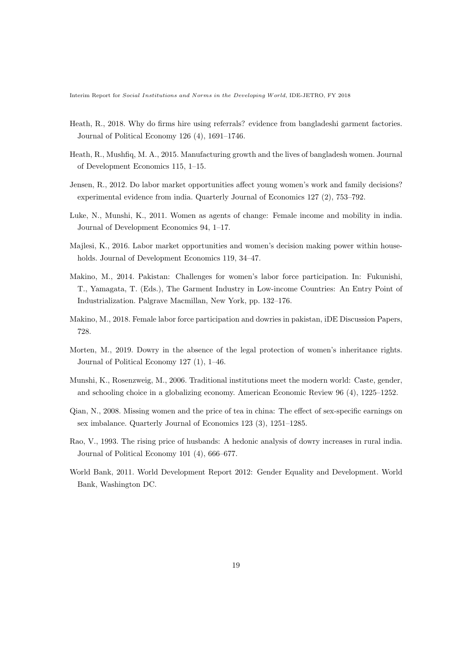- Heath, R., 2018. Why do firms hire using referrals? evidence from bangladeshi garment factories. Journal of Political Economy 126 (4), 1691–1746.
- Heath, R., Mushfiq, M. A., 2015. Manufacturing growth and the lives of bangladesh women. Journal of Development Economics 115, 1–15.
- Jensen, R., 2012. Do labor market opportunities affect young women's work and family decisions? experimental evidence from india. Quarterly Journal of Economics 127 (2), 753–792.
- Luke, N., Munshi, K., 2011. Women as agents of change: Female income and mobility in india. Journal of Development Economics 94, 1–17.
- Majlesi, K., 2016. Labor market opportunities and women's decision making power within households. Journal of Development Economics 119, 34–47.
- Makino, M., 2014. Pakistan: Challenges for women's labor force participation. In: Fukunishi, T., Yamagata, T. (Eds.), The Garment Industry in Low-income Countries: An Entry Point of Industrialization. Palgrave Macmillan, New York, pp. 132–176.
- Makino, M., 2018. Female labor force participation and dowries in pakistan, iDE Discussion Papers, 728.
- Morten, M., 2019. Dowry in the absence of the legal protection of women's inheritance rights. Journal of Political Economy 127 (1), 1–46.
- Munshi, K., Rosenzweig, M., 2006. Traditional institutions meet the modern world: Caste, gender, and schooling choice in a globalizing economy. American Economic Review 96 (4), 1225–1252.
- Qian, N., 2008. Missing women and the price of tea in china: The effect of sex-specific earnings on sex imbalance. Quarterly Journal of Economics 123 (3), 1251–1285.
- Rao, V., 1993. The rising price of husbands: A hedonic analysis of dowry increases in rural india. Journal of Political Economy 101 (4), 666–677.
- World Bank, 2011. World Development Report 2012: Gender Equality and Development. World Bank, Washington DC.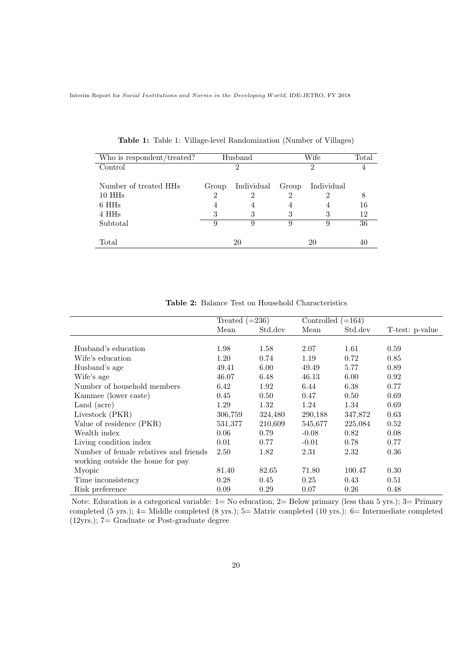| Who is respondent/treated? |       | Husband    |       | Wife       | Total |
|----------------------------|-------|------------|-------|------------|-------|
| $\operatorname{Control}$   |       | 2          |       | 2          |       |
|                            |       |            |       |            |       |
| Number of treated HHs      | Group | Individual | Group | Individual |       |
| 10 HH <sub>s</sub>         | 2     |            |       |            | 8     |
| 6 HH <sub>s</sub>          | 4     | 4          | 4     | 4          | 16    |
| 4 HH <sub>s</sub>          | 3     | 3          | 3     | 3          | 12    |
| Subtotal                   | 9     | 9          | 9     | 9          | 36    |
|                            |       |            |       |            |       |
| Total                      |       | 20         |       | 20         |       |

**Table 1:** Table 1: Village-level Randomization (Number of Villages)

|                                        | Treated $(=236)$ |         | Controlled $(=164)$ |         |                 |
|----------------------------------------|------------------|---------|---------------------|---------|-----------------|
|                                        | Mean             | Std.dev | Mean                | Std.dev | T-test: p-value |
|                                        |                  |         |                     |         |                 |
| Husband's education                    | 1.98             | 1.58    | 2.07                | 1.61    | 0.59            |
| Wife's education                       | 1.20             | 0.74    | 1.19                | 0.72    | 0.85            |
| Husband's age                          | 49.41            | 6.00    | 49.49               | 5.77    | 0.89            |
| Wife's age                             | 46.07            | 6.48    | 46.13               | 6.00    | 0.92            |
| Number of household members            | 6.42             | 1.92    | 6.44                | 6.38    | 0.77            |
| Kammee (lower caste)                   | 0.45             | 0.50    | 0.47                | 0.50    | 0.69            |
| Land (acre)                            | 1.29             | 1.32    | 1.24                | 1.34    | 0.69            |
| Livestock (PKR)                        | 306,759          | 324,480 | 290,188             | 347,872 | 0.63            |
| Value of residence (PKR)               | 531,377          | 210,609 | 545,677             | 225,084 | 0.52            |
| Wealth index                           | 0.06             | 0.79    | $-0.08$             | 0.82    | 0.08            |
| Living condition index                 | 0.01             | 0.77    | $-0.01$             | 0.78    | 0.77            |
| Number of female relatives and friends | 2.50             | 1.82    | 2.31                | 2.32    | 0.36            |
| working outside the home for pay       |                  |         |                     |         |                 |
| Myopic                                 | 81.40            | 82.65   | 71.80               | 100.47  | 0.30            |
| Time inconsistency                     | 0.28             | 0.45    | 0.25                | 0.43    | 0.51            |
| Risk preference                        | 0.09             | 0.29    | 0.07                | 0.26    | 0.48            |

**Table 2:** Balance Test on Household Characteristics

Note: Education is a categorical variable: 1= No education; 2= Below primary (less than 5 yrs.); 3= Primary completed (5 yrs.); 4= Middle completed (8 yrs.); 5= Matric completed (10 yrs.): 6= Intermediate completed (12yrs.); 7= Graduate or Post-graduate degree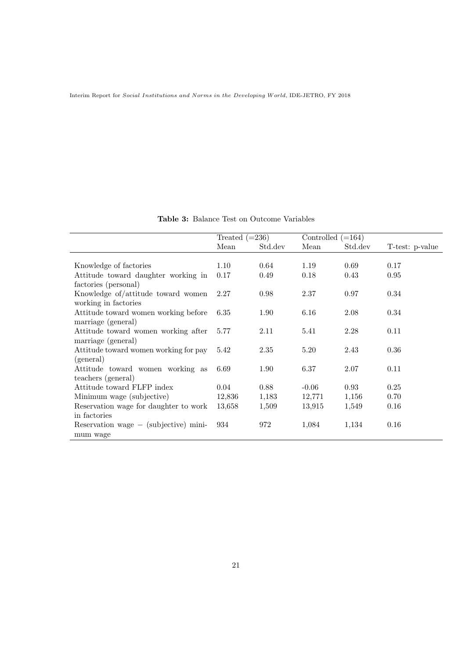**Table 3:** Balance Test on Outcome Variables

|                                         | Treated $(=236)$ |         | Controlled $(=164)$ |         |                 |
|-----------------------------------------|------------------|---------|---------------------|---------|-----------------|
|                                         | Mean             | Std.dev | Mean                | Std.dev | T-test: p-value |
|                                         |                  |         |                     |         |                 |
| Knowledge of factories                  | 1.10             | 0.64    | 1.19                | 0.69    | 0.17            |
| Attitude toward daughter working in     | 0.17             | 0.49    | 0.18                | 0.43    | 0.95            |
| factories (personal)                    |                  |         |                     |         |                 |
| Knowledge of/attitude toward women      | 2.27             | 0.98    | 2.37                | 0.97    | 0.34            |
| working in factories                    |                  |         |                     |         |                 |
| Attitude toward women working before    | 6.35             | 1.90    | 6.16                | 2.08    | 0.34            |
| marriage (general)                      |                  |         |                     |         |                 |
| Attitude toward women working after     | 5.77             | 2.11    | 5.41                | 2.28    | 0.11            |
| marriage (general)                      |                  |         |                     |         |                 |
| Attitude toward women working for pay   | 5.42             | 2.35    | 5.20                | 2.43    | 0.36            |
| (general)                               |                  |         |                     |         |                 |
| Attitude toward women working as        | 6.69             | 1.90    | 6.37                | 2.07    | 0.11            |
| teachers (general)                      |                  |         |                     |         |                 |
| Attitude toward FLFP index              | 0.04             | 0.88    | $-0.06$             | 0.93    | 0.25            |
| Minimum wage (subjective)               | 12,836           | 1,183   | 12,771              | 1,156   | 0.70            |
| Reservation wage for daughter to work   | 13,658           | 1,509   | 13,915              | 1,549   | 0.16            |
| in factories                            |                  |         |                     |         |                 |
| Reservation wage $-$ (subjective) mini- | 934              | 972     | 1,084               | 1,134   | 0.16            |
| mum wage                                |                  |         |                     |         |                 |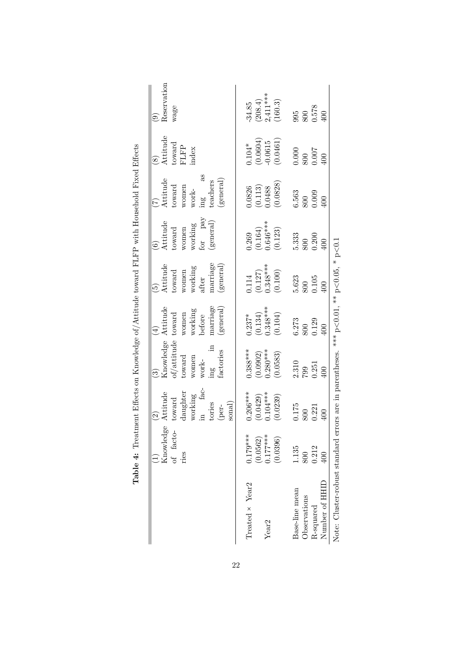|                                                                                                 | Knowledge<br>of facto-<br>ries | fac-<br>Attitude<br>daughter<br>working<br>toward | $\begin{array}{ll} \text{Knowledge} & \text{Atitude} \\ \text{of/attitude} & \text{toward} \end{array}$<br>${\tt toward}$<br>women<br>$\ensuremath{\text{work-}}$ | working<br>women<br>before           | Attitude<br>working<br>toward<br>women<br>after | for pay<br>${\bf Attitude}$<br>working<br>toward<br>women<br>$\widehat{\odot}$ | as<br>Attitude<br>toward<br>women<br>$\operatorname{work-}$<br>$\mathbf{m}$ | Attitude<br>toward<br>FLFP<br>index<br>$\widehat{\infty}$ | Reservation<br>wage<br>ම                                      |
|-------------------------------------------------------------------------------------------------|--------------------------------|---------------------------------------------------|-------------------------------------------------------------------------------------------------------------------------------------------------------------------|--------------------------------------|-------------------------------------------------|--------------------------------------------------------------------------------|-----------------------------------------------------------------------------|-----------------------------------------------------------|---------------------------------------------------------------|
|                                                                                                 |                                | tories<br>sonal)<br>(per-                         | factories<br>ing                                                                                                                                                  | marriage<br>(general)                | narriage<br>general)                            | general)                                                                       | (general)<br>teachers                                                       |                                                           |                                                               |
| Treated $\times$ Year <sub>2</sub>                                                              | $0.179***$                     | $0.206***$                                        | $0.388***$                                                                                                                                                        | $0.237*$                             | 0.114                                           | 0.269                                                                          | 0.0826                                                                      | $0.104*$                                                  | $\mbox{-}34.85$                                               |
|                                                                                                 | (0.0562)                       | (0.0429)                                          | (0.0902)                                                                                                                                                          |                                      | $(0.127)$<br>$0.348***$                         | $(0.164)$<br>0.646***                                                          | $(0.113)$<br>$0.0488$                                                       | $(0.0604)$<br>-0.0615                                     |                                                               |
| Year <sub>2</sub>                                                                               | $0.177***$                     | $0.104***$                                        | $0.280***$                                                                                                                                                        |                                      |                                                 |                                                                                |                                                                             |                                                           |                                                               |
|                                                                                                 | (0.0396)                       | (0.0239)                                          | (0.0583)                                                                                                                                                          | $(0.134)$<br>$0.348***$<br>$(0.104)$ | (0.100)                                         | (0.123)                                                                        | (0.0828)                                                                    | (0.0461)                                                  | $\begin{array}{c} (208.4) \\ 2,411*** \\ (160.3) \end{array}$ |
| Base-line mean                                                                                  | 1.135                          | $\begin{array}{c} 0.175 \\ 800 \end{array}$       | $\frac{2.310}{799}$                                                                                                                                               | $6.273$ $800$                        | $\frac{5.623}{800}$<br>0.105                    | $\frac{5.333}{800}$                                                            | $\frac{6.563}{800}$                                                         | $\begin{array}{c} 0.000 \\ 800 \\ 0.007 \end{array}$      | $\begin{array}{c} 995 \\ 800 \\ 0.578 \\ 400 \end{array}$     |
| Observations                                                                                    | 800                            |                                                   |                                                                                                                                                                   |                                      |                                                 |                                                                                |                                                                             |                                                           |                                                               |
| R-squared                                                                                       | 0.212                          | 0.221                                             | 0.251                                                                                                                                                             | 0.129                                |                                                 | 0.200                                                                          |                                                                             |                                                           |                                                               |
| Number of HHID                                                                                  | $00\,$                         | 400                                               | 400                                                                                                                                                               | 400                                  | 100                                             | $400$                                                                          | $00 \n$                                                                     | 00                                                        |                                                               |
| Note: Cluster-robust standard errors are in parentheses. *** $p<0.01$ , ** $p<0.05$ , * $p<0.1$ |                                |                                                   |                                                                                                                                                                   |                                      |                                                 |                                                                                |                                                                             |                                                           |                                                               |

**Table 4:** Treatment Effects on Knowledge of Attitude toward FLFP with Household Fixed Effects **Table 4:** Treatment Effects on Knowledge of/Attitude toward FLFP with Household Fixed Effects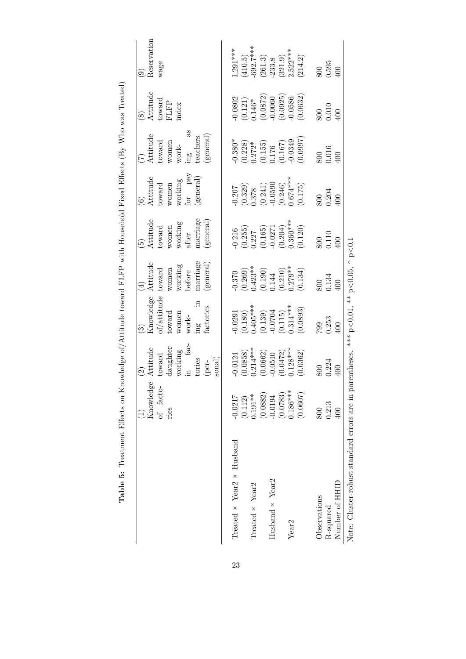|                                             |            |                                                                           | ನಾ                                                                                                                                         |                                                                                                    | r.                                                                                                                                                                                                                                                                                                                            | $\widehat{\circ}$                                                                                                      |                                                                                                                                                   | $\widehat{\infty}$                                                                                                       | ತ್                                                                                           |
|---------------------------------------------|------------|---------------------------------------------------------------------------|--------------------------------------------------------------------------------------------------------------------------------------------|----------------------------------------------------------------------------------------------------|-------------------------------------------------------------------------------------------------------------------------------------------------------------------------------------------------------------------------------------------------------------------------------------------------------------------------------|------------------------------------------------------------------------------------------------------------------------|---------------------------------------------------------------------------------------------------------------------------------------------------|--------------------------------------------------------------------------------------------------------------------------|----------------------------------------------------------------------------------------------|
|                                             | Knowledge  | sttitude                                                                  | $\begin{array}{l} \text{Knowledge} \\ \text{of/attitude} \end{array}$                                                                      | Attitude                                                                                           | Attitude                                                                                                                                                                                                                                                                                                                      | Attitude                                                                                                               | Attitude                                                                                                                                          | Attitude                                                                                                                 | Reserva                                                                                      |
|                                             | of facto   | $t$ oward                                                                 |                                                                                                                                            | toward                                                                                             | toward                                                                                                                                                                                                                                                                                                                        | toward                                                                                                                 | toward                                                                                                                                            |                                                                                                                          | wage                                                                                         |
|                                             | ries       | daughter                                                                  | $t$ oward                                                                                                                                  |                                                                                                    |                                                                                                                                                                                                                                                                                                                               | women                                                                                                                  | women<br>work-                                                                                                                                    | toward<br>FLFP                                                                                                           |                                                                                              |
|                                             |            | working $$\rm{fac}$$                                                      | women                                                                                                                                      | women<br>working<br>before                                                                         | women<br>working                                                                                                                                                                                                                                                                                                              | working                                                                                                                |                                                                                                                                                   | ndex                                                                                                                     |                                                                                              |
|                                             |            |                                                                           | $\ensuremath{\text{work-}}$                                                                                                                |                                                                                                    | after                                                                                                                                                                                                                                                                                                                         | pay<br>for                                                                                                             | mgm                                                                                                                                               |                                                                                                                          |                                                                                              |
|                                             |            | tories                                                                    | $\mathbb{E}$                                                                                                                               | marriage                                                                                           | marriage                                                                                                                                                                                                                                                                                                                      | general)                                                                                                               | eachers                                                                                                                                           |                                                                                                                          |                                                                                              |
|                                             |            | $\text{sonal}$<br>(per-                                                   | iactories                                                                                                                                  | general                                                                                            | general)                                                                                                                                                                                                                                                                                                                      |                                                                                                                        | general                                                                                                                                           |                                                                                                                          |                                                                                              |
|                                             |            |                                                                           |                                                                                                                                            |                                                                                                    |                                                                                                                                                                                                                                                                                                                               |                                                                                                                        |                                                                                                                                                   |                                                                                                                          |                                                                                              |
| Treated $\times$ Year2 $\times$ Husband     | $-0.0217$  | 0.0124                                                                    |                                                                                                                                            |                                                                                                    |                                                                                                                                                                                                                                                                                                                               |                                                                                                                        |                                                                                                                                                   |                                                                                                                          | $1,291***$                                                                                   |
|                                             | (0.112)    |                                                                           |                                                                                                                                            |                                                                                                    |                                                                                                                                                                                                                                                                                                                               |                                                                                                                        |                                                                                                                                                   |                                                                                                                          |                                                                                              |
| Treated $\times$ Year <sub>2</sub>          | $0.191**$  | $(0.0858)$<br>0.214***                                                    |                                                                                                                                            |                                                                                                    |                                                                                                                                                                                                                                                                                                                               |                                                                                                                        |                                                                                                                                                   |                                                                                                                          |                                                                                              |
|                                             | (0.0882)   | $\begin{array}{c} (0.0662) \\ -0.0510 \\ (0.0472) \\ 1.28*** \end{array}$ |                                                                                                                                            |                                                                                                    |                                                                                                                                                                                                                                                                                                                               |                                                                                                                        |                                                                                                                                                   |                                                                                                                          |                                                                                              |
| Husband × Year2                             | $-0.0194$  |                                                                           |                                                                                                                                            |                                                                                                    |                                                                                                                                                                                                                                                                                                                               |                                                                                                                        |                                                                                                                                                   |                                                                                                                          |                                                                                              |
|                                             | (0.0783)   |                                                                           |                                                                                                                                            |                                                                                                    |                                                                                                                                                                                                                                                                                                                               |                                                                                                                        |                                                                                                                                                   |                                                                                                                          |                                                                                              |
| Year <sub>2</sub>                           | $0.186***$ |                                                                           |                                                                                                                                            |                                                                                                    |                                                                                                                                                                                                                                                                                                                               |                                                                                                                        |                                                                                                                                                   |                                                                                                                          |                                                                                              |
|                                             | (0.0607)   | (0.0362)                                                                  | $\begin{array}{l} -0.0291\ (0.180)\\ 0.028^{***} \ (0.130)\\ 0.013^{***} \ (0.139)\\ (0.139)\\ -0.0704\\ 0.115)\\ 0.314^{***} \end{array}$ | $-0.370$<br>$(0.269)$<br>$0.423**$<br>$(0.190)$<br>$0.144$<br>$(0.210)$<br>$(0.210)$<br>$(0.279**$ | $\begin{array}{c} -0.216 \\ (0.255) \\ (0.257) \\ (0.165) \\ (0.165) \\ (0.201) \\ (0.204) \\ (0.300^{***} \\ (0.300^{***}) \\ (0.120) \\ (0.120) \\ (0.120) \\ (0.120) \\ (0.120) \\ (0.121) \\ (0.121) \\ (0.121) \\ (0.122) \\ (0.122) \\ (0.123) \\ (0.123) \\ (0.123) \\ (0.125) \\ (0.125) \\ (0.125) \\ (0.127) \\ (0$ | $\begin{array}{l} (0.207\ (0.329)\ (0.378\ (0.241)\ (0.241)\ (0.246)\ (0.246)\ (0.246)\ (0.246)\ 0.674*** \end{array}$ | $\begin{array}{l} +0.380^{*} \\ (0.228) \\ 0.272^{*} \\ (0.155) \\ 0.176 \\ (0.167) \\ (0.167) \\ (0.167) \\ (0.0349) \\ (0.0349) \\ \end{array}$ | $\begin{array}{c} (0.0802 \\ (0.121) \\ 0.146^* \\ (0.0872) \\ (0.0872) \\ (0.0925) \\ (0.0928) \\ (0.0586) \end{array}$ | $(410.5)$<br>$-692.7***$<br>$(261.3)$<br>$-233.8$<br>$(321.9)$<br>$2,522***$<br>$2,621.4.2)$ |
| Observations                                | 800        |                                                                           | <b>C62</b>                                                                                                                                 | 800                                                                                                | 800                                                                                                                                                                                                                                                                                                                           | 800                                                                                                                    |                                                                                                                                                   | 800                                                                                                                      | 800                                                                                          |
| R-squared                                   | 0.213      | 0.224                                                                     | $0.253$<br>$400$                                                                                                                           | 0.134                                                                                              |                                                                                                                                                                                                                                                                                                                               | $0.204$<br>$400$                                                                                                       | $0.016$<br>400                                                                                                                                    | $0.010$<br>400                                                                                                           | $0.595$<br>$400$                                                                             |
| Number of HHID                              | 400        | $\Xi$                                                                     |                                                                                                                                            |                                                                                                    | $0.110$<br>400                                                                                                                                                                                                                                                                                                                |                                                                                                                        |                                                                                                                                                   |                                                                                                                          |                                                                                              |
| Note: Cluster-robust standard errors are in |            | oarentheses                                                               | *** $p<0.01$ , ** $p<0.05$ , * $p<0.1$                                                                                                     |                                                                                                    |                                                                                                                                                                                                                                                                                                                               |                                                                                                                        |                                                                                                                                                   |                                                                                                                          |                                                                                              |

Table 5: Treatment Effects on Knowledge of/Attitude toward FLFP with Household Fixed Effects (By Who was Treated) **Table 5:** Treatment Effects on Knowledge of/Attitude toward FLFP with Household Fixed Effects (By Who was Treated)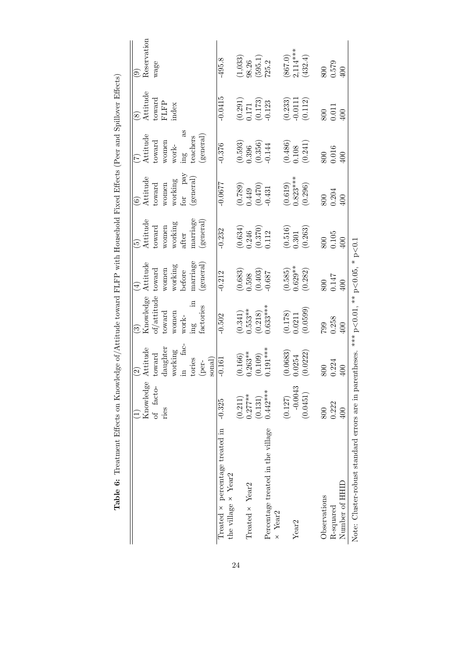|                                             |            | $\widehat{\Omega}$                                          |                                                                        |                                                 |                                                                                  | ତି                                                                   |                                                            | $\widehat{\infty}$                                                       | ම                                                                     |
|---------------------------------------------|------------|-------------------------------------------------------------|------------------------------------------------------------------------|-------------------------------------------------|----------------------------------------------------------------------------------|----------------------------------------------------------------------|------------------------------------------------------------|--------------------------------------------------------------------------|-----------------------------------------------------------------------|
|                                             | Knowledge  | Attitude                                                    |                                                                        | Attitude                                        | ${\it At} \it {itude}$                                                           | Attitude                                                             | Attitude                                                   | Attitude                                                                 | Reservation                                                           |
|                                             | of facto-  | $t$ oward                                                   | $\begin{array}{c} \text{Knowledge} \\ \text{of/attribute} \end{array}$ | $t$ oward                                       | $t$ oward                                                                        | $t$ oward                                                            | toward                                                     |                                                                          | wage                                                                  |
|                                             | ries       | daughter                                                    | toward                                                                 | women                                           | women                                                                            | women                                                                | women                                                      | $_{\rm FLFP}^{\rm toward}$                                               |                                                                       |
|                                             |            | working                                                     | women                                                                  |                                                 |                                                                                  | working                                                              | $\ensuremath{\text{work-}}$                                | index                                                                    |                                                                       |
|                                             |            | fac-<br>$\Xi$                                               | $\ensuremath{\text{work-}}$                                            | working<br>before                               | $% \left\langle \left( \lambda_{\mathrm{eff}}\right) \right\rangle _{0}$ working | for pay                                                              | 8g<br>$\operatorname{im} g$                                |                                                                          |                                                                       |
|                                             |            | tories                                                      | $\operatorname{im} g$                                                  | marriage                                        | marriage                                                                         | general)                                                             | teachers                                                   |                                                                          |                                                                       |
|                                             |            | sonal)<br>(per-                                             | factories                                                              | (general)                                       | $(\rm general)$                                                                  |                                                                      | (general)                                                  |                                                                          |                                                                       |
| Treated × percentage treated in             | $-0.325$   | $-0.161$                                                    | $-0.502$                                                               | $-0.212$                                        | $-0.232$                                                                         | $-0.0677$                                                            | $-0.376$                                                   | $-0.0415$                                                                | $-495.8$                                                              |
| the village $\times$ Year2                  |            |                                                             |                                                                        |                                                 |                                                                                  |                                                                      |                                                            |                                                                          |                                                                       |
|                                             | (0.211)    |                                                             |                                                                        | $\begin{array}{c} (0.683) \\ 0.598 \end{array}$ |                                                                                  |                                                                      | $\left( 0.593\right)$ $\left( 0.396\right)$                |                                                                          |                                                                       |
| Treated $\times$ Year2                      | $0.277***$ | $(0.166)$<br>0.263**                                        | $(0.341)$<br>0.553**                                                   |                                                 |                                                                                  |                                                                      |                                                            |                                                                          |                                                                       |
|                                             | (0.131)    | (0.109)                                                     | (0.218)                                                                |                                                 | $\begin{array}{c} (0.634) \\ 0.246 \\ (0.370) \\ 0.112 \end{array}$              | $\begin{array}{c} (0.789) \\ 0.449 \\ (0.470) \\ (0.431 \end{array}$ | $\left( 0.356\right)$ -0.144                               | $\begin{array}{c} (0.291) \\ 0.171 \\ (0.173) \\ (0.173) \\ \end{array}$ |                                                                       |
| Percentage treated in the village           | $0.442***$ | $0.191***$                                                  | $0.633***$                                                             | $(0.403)$<br>$-0.687$                           |                                                                                  |                                                                      |                                                            |                                                                          | $\begin{array}{c} (1{,}033) \\ 98.26 \\ (595.1) \\ 725.2 \end{array}$ |
| $\times$ Year <sub>2</sub>                  |            |                                                             |                                                                        |                                                 |                                                                                  |                                                                      |                                                            |                                                                          |                                                                       |
|                                             | (0.127)    |                                                             | $(0.178)$<br>$0.0211$                                                  |                                                 |                                                                                  |                                                                      |                                                            |                                                                          |                                                                       |
| Year <sub>2</sub>                           | $-0.0043$  |                                                             |                                                                        |                                                 |                                                                                  |                                                                      |                                                            |                                                                          |                                                                       |
|                                             | (0.0451)   | $\begin{array}{c} (0.0683) \\ 0.0254 \\ 0.0222 \end{array}$ | (0.0599)                                                               | $(0.585)$<br>$0.629**$<br>$(0.282)$             | $\begin{array}{c} (0.516) \\ 0.301 \\ (0.263) \end{array}$                       | $(0.619)$<br>$0.823***$<br>$(0.296)$                                 | $\begin{array}{c} (0.486) \\ 0.108 \\ (0.241) \end{array}$ | $\begin{array}{c} (0.233) \\ -0.0111 \\ (0.112) \end{array}$             | $(867.0)$<br>2,114***<br>(432.4)                                      |
| Observations                                | 800        | 800                                                         | 799                                                                    |                                                 |                                                                                  | $800\,$                                                              | 800                                                        |                                                                          |                                                                       |
|                                             |            |                                                             |                                                                        | $800\,$                                         | 800                                                                              |                                                                      |                                                            | 800                                                                      |                                                                       |
| R-squared                                   | 0.222      | 0.224                                                       | 0.258                                                                  |                                                 | $0.105\,$                                                                        | 0.204                                                                | $\frac{0.016}{400}$                                        | 0.011                                                                    | $\begin{array}{c} 800 \\ 0.579 \\ 400 \end{array}$                    |
| Number of HHID                              | 400        | $\overline{60}$                                             | 400                                                                    | 0.147<br>400                                    | 400                                                                              | 100                                                                  |                                                            | 100                                                                      |                                                                       |
| Note: Cluster-robust standard errors are in |            | parentheses.                                                | *** $p<0.01$ , ** $p<0.05$ , * $p<0.1$                                 |                                                 |                                                                                  |                                                                      |                                                            |                                                                          |                                                                       |

Table 6: Treatment Effects on Knowledge of/Attitude toward FLFP with Household Fixed Effects (Peer and Spillover Effects) **Table 6:** Treatment Effects on Knowledge of/Attitude toward FLFP with Household Fixed Effects (Peer and Spillover Effects)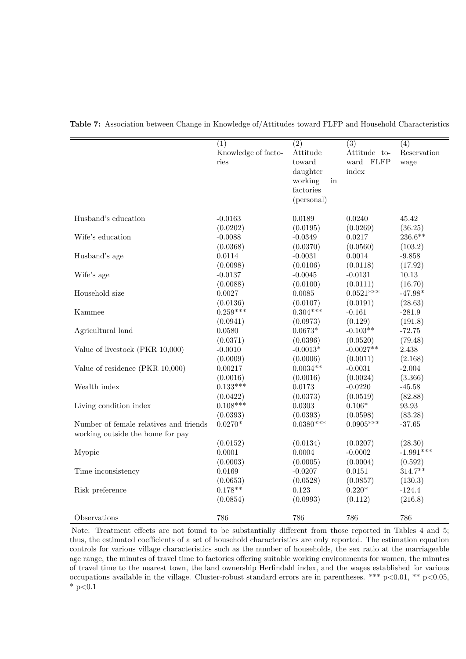|                                        | (1)                 | $\overline{(2)}$               | $\overline{(3)}$ | (4)         |
|----------------------------------------|---------------------|--------------------------------|------------------|-------------|
|                                        | Knowledge of facto- | Attitude                       | Attitude to-     | Reservation |
|                                        | ries                | toward                         | ward FLFP        | wage        |
|                                        |                     | daughter                       | index            |             |
|                                        |                     | working<br>$\operatorname{in}$ |                  |             |
|                                        |                     | factories                      |                  |             |
|                                        |                     | (personal)                     |                  |             |
|                                        |                     |                                |                  |             |
| Husband's education                    | $-0.0163$           | 0.0189                         | 0.0240           | 45.42       |
|                                        | (0.0202)            | (0.0195)                       | (0.0269)         | (36.25)     |
| Wife's education                       | $-0.0088$           | $-0.0349$                      | 0.0217           | $236.6**$   |
|                                        | (0.0368)            | (0.0370)                       | (0.0560)         | (103.2)     |
| Husband's age                          | 0.0114              | $-0.0031$                      | 0.0014           | $-9.858$    |
|                                        | (0.0098)            | (0.0106)                       | (0.0118)         | (17.92)     |
| Wife's age                             | $-0.0137$           | $-0.0045$                      | $-0.0131$        | 10.13       |
|                                        | (0.0088)            | (0.0100)                       | (0.0111)         | (16.70)     |
| Household size                         | 0.0027              | 0.0085                         | $0.0521***$      | $-47.98*$   |
|                                        | (0.0136)            | (0.0107)                       | (0.0191)         | (28.63)     |
| Kammee                                 | $0.259***$          | $0.304***$                     | $-0.161$         | $-281.9$    |
|                                        | (0.0941)            | (0.0973)                       | (0.129)          | (191.8)     |
| Agricultural land                      | 0.0580              | $0.0673*$                      | $-0.103**$       | $-72.75$    |
|                                        | (0.0371)            | (0.0396)                       | (0.0520)         | (79.48)     |
| Value of livestock (PKR 10,000)        | $-0.0010$           | $-0.0013*$                     | $-0.0027**$      | 2.438       |
|                                        | (0.0009)            | (0.0006)                       | (0.0011)         | (2.168)     |
| Value of residence (PKR 10,000)        | 0.00217             | $0.0034**$                     | $-0.0031$        | $-2.004$    |
|                                        | (0.0016)            | (0.0016)                       | (0.0024)         | (3.366)     |
| Wealth index                           | $0.133***$          | 0.0173                         | $-0.0220$        | $-45.58$    |
|                                        | (0.0422)            | (0.0373)                       | (0.0519)         | (82.88)     |
| Living condition index                 | $0.108***$          | 0.0303                         | $0.106*$         | 93.93       |
|                                        | (0.0393)            | (0.0393)                       | (0.0598)         | (83.28)     |
| Number of female relatives and friends | $0.0270*$           | $0.0380***$                    | $0.0905***$      | $-37.65$    |
| working outside the home for pay       |                     |                                |                  |             |
|                                        | (0.0152)            | (0.0134)                       | (0.0207)         | (28.30)     |
| Myopic                                 | 0.0001              | 0.0004                         | $-0.0002$        | $-1.991***$ |
|                                        | (0.0003)            | (0.0005)                       | (0.0004)         | (0.592)     |
| Time inconsistency                     | 0.0169              | $-0.0207$                      | 0.0151           | $314.7**$   |
|                                        | (0.0653)            | (0.0528)                       | (0.0857)         | (130.3)     |
| Risk preference                        | $0.178**$           | 0.123                          | $0.220*$         | $-124.4$    |
|                                        | (0.0854)            | (0.0993)                       | (0.112)          | (216.8)     |
|                                        |                     |                                |                  |             |
| Observations                           | 786                 | 786                            | 786              | 786         |

**Table 7:** Association between Change in Knowledge of/Attitudes toward FLFP and Household Characteristics

Note: Treatment effects are not found to be substantially different from those reported in Tables 4 and 5; thus, the estimated coefficients of a set of household characteristics are only reported. The estimation equation controls for various village characteristics such as the number of households, the sex ratio at the marriageable age range, the minutes of travel time to factories offering suitable working environments for women, the minutes of travel time to the nearest town, the land ownership Herfindahl index, and the wages established for various occupations available in the village. Cluster-robust standard errors are in parentheses. \*\*\* p*<*0.01, \*\* p*<*0.05, \* p*<*0.1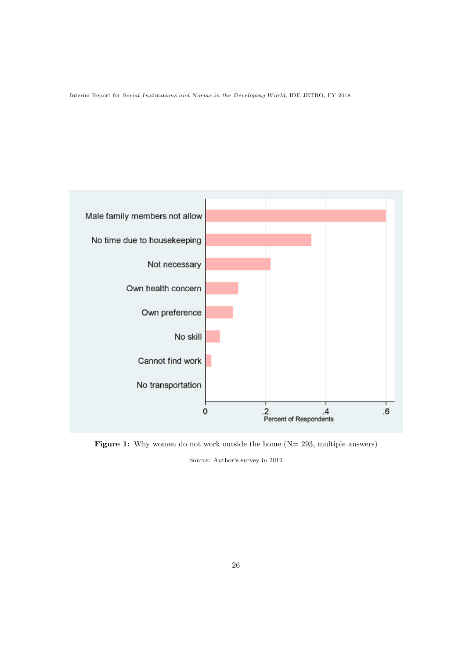

**Figure 1:** Why women do not work outside the home (N= 293, multiple answers) Source: Author's survey in 2012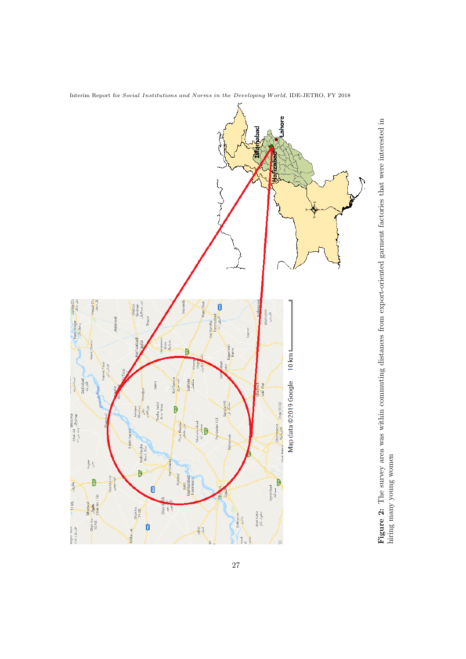

Interim Report for *Social Institutions and Norms in the Developing W orld*, IDE-JETRO, FY 2018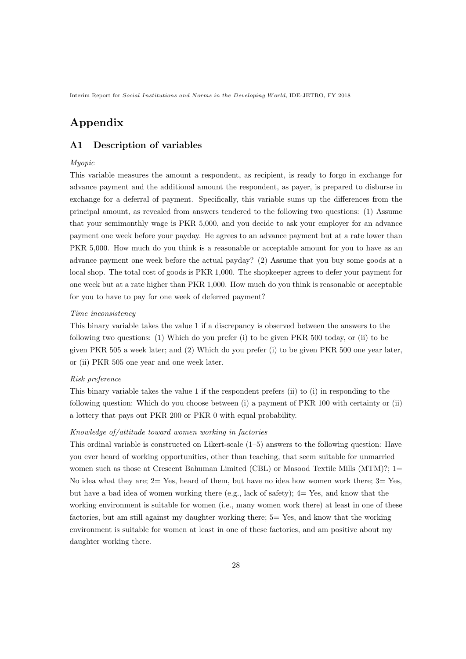# **Appendix**

## **A1 Description of variables**

### *Myopic*

This variable measures the amount a respondent, as recipient, is ready to forgo in exchange for advance payment and the additional amount the respondent, as payer, is prepared to disburse in exchange for a deferral of payment. Specifically, this variable sums up the differences from the principal amount, as revealed from answers tendered to the following two questions: (1) Assume that your semimonthly wage is PKR 5,000, and you decide to ask your employer for an advance payment one week before your payday. He agrees to an advance payment but at a rate lower than PKR 5,000. How much do you think is a reasonable or acceptable amount for you to have as an advance payment one week before the actual payday? (2) Assume that you buy some goods at a local shop. The total cost of goods is PKR 1,000. The shopkeeper agrees to defer your payment for one week but at a rate higher than PKR 1,000. How much do you think is reasonable or acceptable for you to have to pay for one week of deferred payment?

### *Time inconsistency*

This binary variable takes the value 1 if a discrepancy is observed between the answers to the following two questions: (1) Which do you prefer (i) to be given PKR 500 today, or (ii) to be given PKR 505 a week later; and (2) Which do you prefer (i) to be given PKR 500 one year later, or (ii) PKR 505 one year and one week later.

#### *Risk preference*

This binary variable takes the value 1 if the respondent prefers (ii) to (i) in responding to the following question: Which do you choose between (i) a payment of PKR 100 with certainty or (ii) a lottery that pays out PKR 200 or PKR 0 with equal probability.

### *Knowledge of/attitude toward women working in factories*

This ordinal variable is constructed on Likert-scale  $(1-5)$  answers to the following question: Have you ever heard of working opportunities, other than teaching, that seem suitable for unmarried women such as those at Crescent Bahuman Limited (CBL) or Masood Textile Mills (MTM)?; 1= No idea what they are;  $2 = Yes$ , heard of them, but have no idea how women work there;  $3 = Yes$ , but have a bad idea of women working there (e.g., lack of safety);  $4=$  Yes, and know that the working environment is suitable for women (i.e., many women work there) at least in one of these factories, but am still against my daughter working there; 5= Yes, and know that the working environment is suitable for women at least in one of these factories, and am positive about my daughter working there.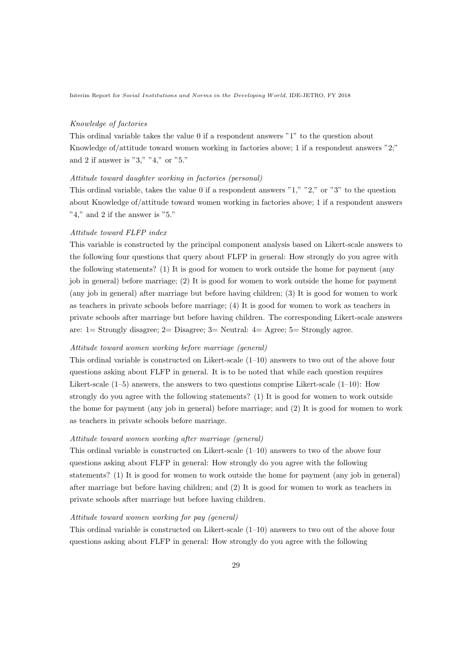### *Knowledge of factories*

This ordinal variable takes the value 0 if a respondent answers "1" to the question about Knowledge of/attitude toward women working in factories above; 1 if a respondent answers "2;" and 2 if answer is "3," "4," or "5."

### *Attitude toward daughter working in factories (personal)*

This ordinal variable, takes the value 0 if a respondent answers "1," "2," or "3" to the question about Knowledge of/attitude toward women working in factories above; 1 if a respondent answers "4," and 2 if the answer is "5."

### *Attitude toward FLFP index*

This variable is constructed by the principal component analysis based on Likert-scale answers to the following four questions that query about FLFP in general: How strongly do you agree with the following statements? (1) It is good for women to work outside the home for payment (any job in general) before marriage; (2) It is good for women to work outside the home for payment (any job in general) after marriage but before having children; (3) It is good for women to work as teachers in private schools before marriage; (4) It is good for women to work as teachers in private schools after marriage but before having children. The corresponding Likert-scale answers are:  $1 =$  Strongly disagree;  $2 =$  Disagree;  $3 =$  Neutral:  $4 =$  Agree;  $5 =$  Strongly agree.

### *Attitude toward women working before marriage (general)*

This ordinal variable is constructed on Likert-scale  $(1-10)$  answers to two out of the above four questions asking about FLFP in general. It is to be noted that while each question requires Likert-scale  $(1-5)$  answers, the answers to two questions comprise Likert-scale  $(1-10)$ : How strongly do you agree with the following statements? (1) It is good for women to work outside the home for payment (any job in general) before marriage; and (2) It is good for women to work as teachers in private schools before marriage.

### *Attitude toward women working after marriage (general)*

This ordinal variable is constructed on Likert-scale (1–10) answers to two of the above four questions asking about FLFP in general: How strongly do you agree with the following statements? (1) It is good for women to work outside the home for payment (any job in general) after marriage but before having children; and (2) It is good for women to work as teachers in private schools after marriage but before having children.

#### *Attitude toward women working for pay (general)*

This ordinal variable is constructed on Likert-scale (1–10) answers to two out of the above four questions asking about FLFP in general: How strongly do you agree with the following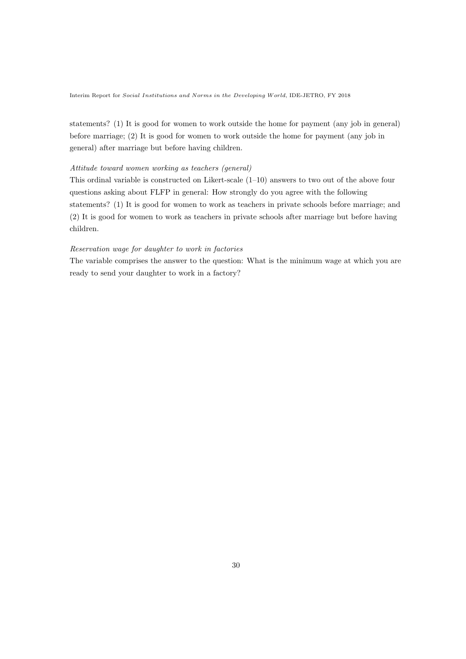statements? (1) It is good for women to work outside the home for payment (any job in general) before marriage; (2) It is good for women to work outside the home for payment (any job in general) after marriage but before having children.

### *Attitude toward women working as teachers (general)*

This ordinal variable is constructed on Likert-scale (1–10) answers to two out of the above four questions asking about FLFP in general: How strongly do you agree with the following statements? (1) It is good for women to work as teachers in private schools before marriage; and (2) It is good for women to work as teachers in private schools after marriage but before having children.

### *Reservation wage for daughter to work in factories*

The variable comprises the answer to the question: What is the minimum wage at which you are ready to send your daughter to work in a factory?